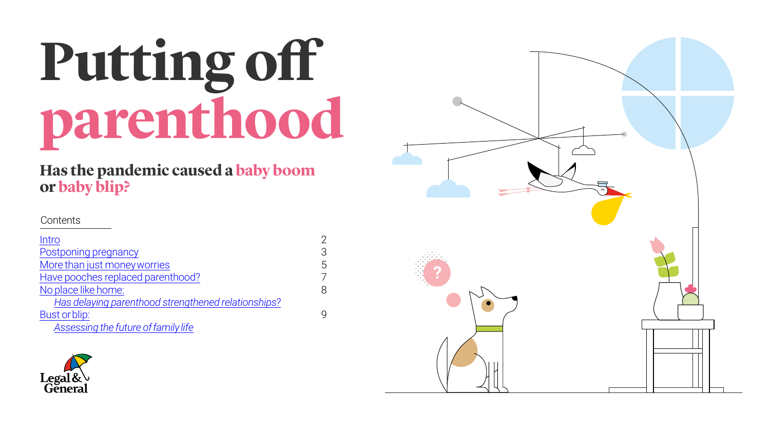# **Putting o parenthood**





### **Has the pandemic caused a baby boom or baby blip?**

Contents

| Intro                                               | $\mathcal{P}$  |
|-----------------------------------------------------|----------------|
| Postponing pregnancy                                | 3              |
| More than just money worries                        | 5              |
| Have pooches replaced parenthood?                   | $\overline{7}$ |
| No place like home:                                 | 8              |
| Has delaying parenthood strengthened relationships? |                |
| Bust or blip:                                       | $\mathsf{Q}$   |
| Assessing the future of family life                 |                |

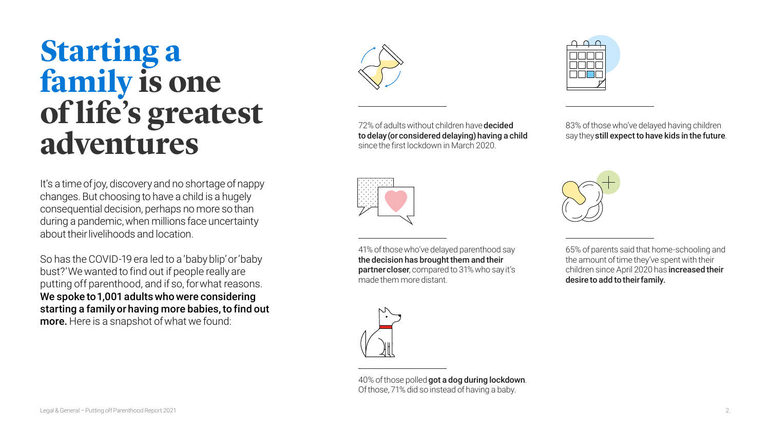It's a time of joy, discovery and no shortage of nappy changes. But choosing to have a child is a hugely consequential decision, perhaps no more so than during a pandemic, when millions face uncertainty about their livelihoods and location.

So has the COVID-19 era led to a 'baby blip' or 'baby bust?' We wanted to find out if people really are putting off parenthood, and if so, for what reasons. We spoke to 1,001 adults who were considering starting a family or having more babies, to find out more. Here is a snapshot of what we found:

83% of those who've delayed having children say they still expect to have kids in the future.



72% of adults without children have decided to delay (or considered delaying) having a child since the first lockdown in March 2020.





40% of those polled got a dog during lockdown. Of those, 71% did so instead of having a baby.



65% of parents said that home-schooling and the amount of time they've spent with their children since April 2020 has increased their desire to add to their family.



2.

### <span id="page-1-0"></span>**Starting a family is one of life's greatest adventures**



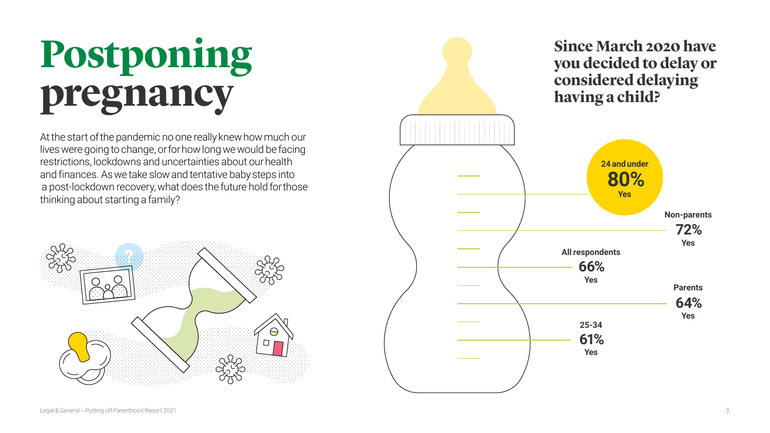## **Postponing pregnancy**

At the start of the pandemic no one really knew how much our lives were going to change, or for how long we would be facing restrictions, lockdowns and uncertainties about our health and finances. As we take slow and tentative baby steps into a post-lockdown recovery, what does the future hold for those thinking about starting a family?

<span id="page-2-0"></span>



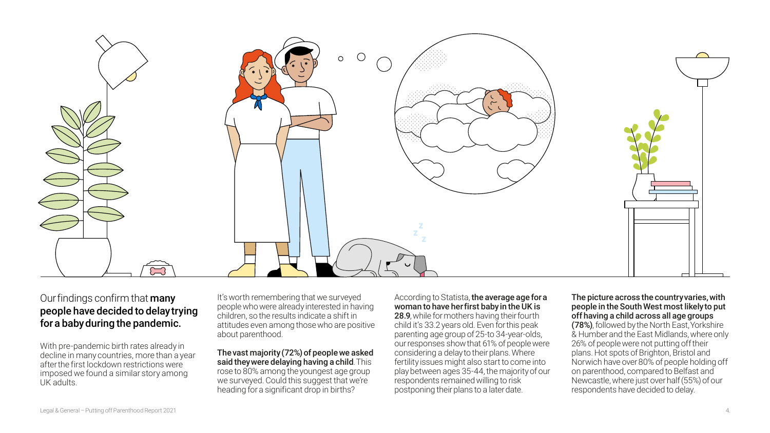#### Our findings confirm that **many** people have decided to delay trying for a baby during the pandemic.

It's worth remembering that we surveye people who were already interested in ha children, so the results indicate a shift in attitudes even among those who are po about parenthood.

The vast majority  $(72%)$  of people we a said they were delaying having a child. rose to 80% among the youngest age gl we surveyed. Could this suggest that we heading for a significant drop in births?

With pre-pandemic birth rates already in decline in many countries, more than a year after the first lockdown restrictions were imposed we found a similar story among UK adults.

| According to Statista, the average age for a<br>эq        |  |
|-----------------------------------------------------------|--|
| woman to have her first baby in the UK is<br>aving        |  |
| 28.9, while for mothers having their fourth               |  |
| child it's 33.2 years old. Even for this peak<br>ositive  |  |
| parenting age group of 25-to 34-year-olds,                |  |
| our responses show that 61% of people were                |  |
| considering a delay to their plans. Where<br><b>isked</b> |  |
| This<br>fertility issues might also start to come into    |  |
| play between ages 35-44, the majority of our<br>roup      |  |
| e're<br>respondents remained willing to risk              |  |
| postponing their plans to a later date.                   |  |

#### The picture across the country varies, with people in the South West most likely to put off having a child across all age groups (78%), followed by the North East, Yorkshire & Humber and the East Midlands, where only 26% of people were not putting off their plans. Hot spots of Brighton, Bristol and Norwich have over 80% of people holding off on parenthood, compared to Belfast and Newcastle, where just over half (55%) of our respondents have decided to delay.









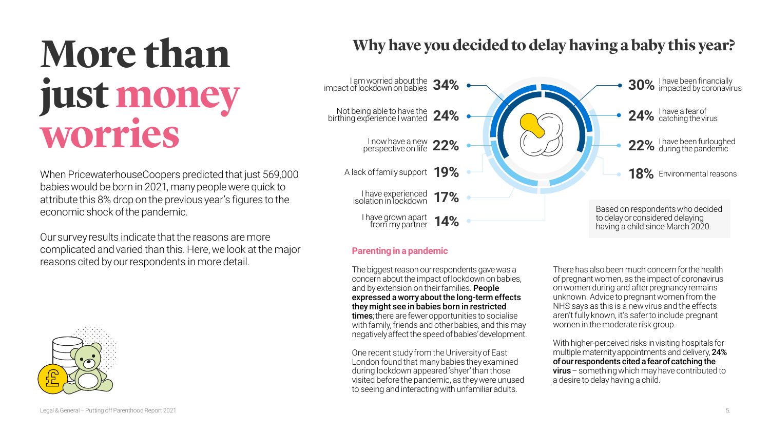### **Why have you decided to delay having a baby this year?**



## <span id="page-4-0"></span>**More than just money worries**

When PricewaterhouseCoopers predicted that just 569,000 babies would be born in 2021, many people were quick to attribute this 8% drop on the previous year's figures to the economic shock of the pandemic.

Our survey results indicate that the reasons are more complicated and varied than this. Here, we look at the major reasons cited by our respondents in more detail.





#### **Parenting in a pandemic**

The biggest reason our respondents gave was a concern about the impact of lockdown on babies, and by extension on their families. **People** expressed a worry about the long-term effects they might see in babies born in restricted times; there are fewer opportunities to socialise with family, friends and other babies, and this may negatively affect the speed of babies' development.

One recent study from the University of East London found that many babies they examined during lockdown appeared 'shyer' than those visited before the pandemic, as they were unused to seeing and interacting with unfamiliar adults.

There has also been much concern for the health of pregnant women, as the impact of coronavirus on women during and after pregnancy remains unknown. Advice to pregnant women from the NHS says as this is a new virus and the effects aren't fully known, it's safer to include pregnant women in the moderate risk group.

With higher-perceived risks in visiting hospitals for multiple maternity appointments and delivery, 24% of our respondents cited a fear of catching the virus – something which may have contributed to a desire to delay having a child.

















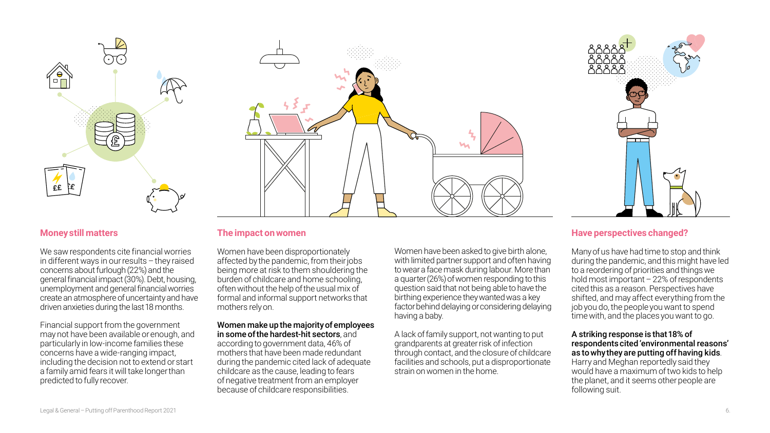#### **Money still matters**

We saw respondents cite financial worries in different ways in our results – they raised concerns about furlough (22%) and the general financial impact (30%). Debt, housing, unemployment and general financial worries create an atmosphere of uncertainty and have driven anxieties during the last 18 months.

Financial support from the government may not have been available or enough, and particularly in low-income families these concerns have a wide-ranging impact, including the decision not to extend or start a family amid fears it will take longer than predicted to fully recover.

#### **The impact on women**

Women have been disproportionately affected by the pandemic, from their jobs being more at risk to them shouldering the burden of childcare and home schooling, often without the help of the usual mix of formal and informal support networks that mothers rely on.

Women make up the majority of employees in some of the hardest-hit sectors, and according to government data, 46% of mothers that have been made redundant during the pandemic cited lack of adequate childcare as the cause, leading to fears of negative treatment from an employer because of childcare responsibilities.

#### **Have perspectives changed?**

Many of us have had time to stop and think during the pandemic, and this might have led to a reordering of priorities and things we hold most important  $-22%$  of respondents cited this as a reason. Perspectives have shifted, and may affect everything from the job you do, the people you want to spend time with, and the places you want to go.

#### A striking response is that 18% of respondents cited 'environmental reasons' as to why they are putting off having kids. Harry and Meghan reportedly said they would have a maximum of two kids to help the planet, and it seems other people are following suit.

Women have been asked to give birth alone, with limited partner support and often having to wear a face mask during labour. More than a quarter (26%) of women responding to this question said that not being able to have the birthing experience they wanted was a key factor behind delaying or considering delaying having a baby.

#### A lack of family support, not wanting to put grandparents at greater risk of infection through contact, and the closure of childcare facilities and schools, put a disproportionate strain on women in the home.





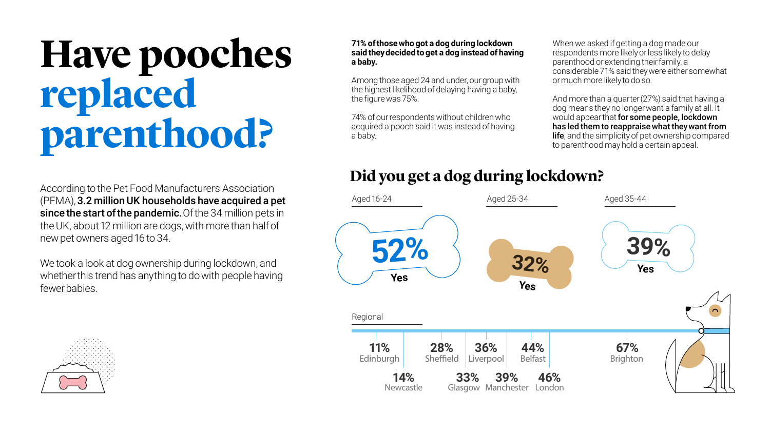## <span id="page-6-0"></span>**Have pooches replaced parenthood?**

### **Did you get a dog during lockdown?**



#### **71% of those who got a dog during lockdown said they decided to get a dog instead of having a baby.**

Among those aged 24 and under, our group with the highest likelihood of delaying having a baby, the figure was 75%.

74% of our respondents without children who acquired a pooch said it was instead of having a baby.



When we asked if getting a dog made our respondents more likely or less likely to delay parenthood or extending their family, a considerable 71% said they were either somewhat or much more likely to do so.

And more than a quarter (27%) said that having a dog means they no longer want a family at all. It would appear that for some people, lockdown has led them to reappraise what they want from **life**, and the simplicity of pet ownership compared to parenthood may hold a certain appeal.

According to the Pet Food Manufacturers Association (PFMA), 3.2 million UK households have acquired a pet since the start of the pandemic. Of the 34 million pets in the UK, about 12 million are dogs, with more than half of new pet owners aged 16 to 34.

We took a look at dog ownership during lockdown, and whether this trend has anything to do with people having fewer babies.

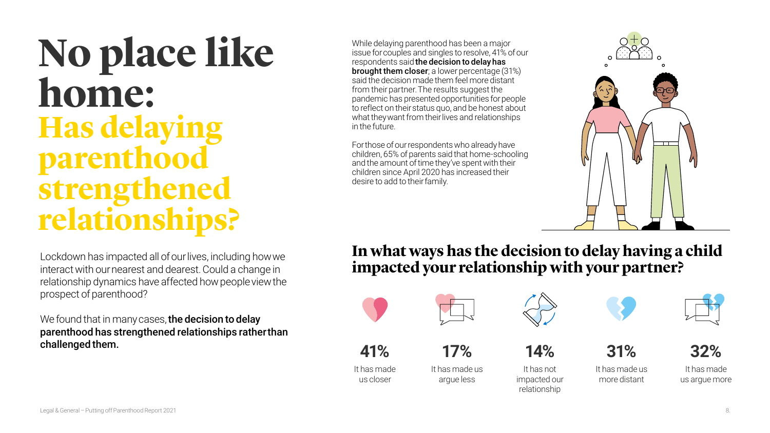### **In what ways has the decision to delay having a child impacted your relationship with your partner?**



**41%**

It has made us closer



**32%**

It has made us argue more





It has made us more distant



**17%**

It has made us argue less



**14%**

It has not impacted our relationship



## <span id="page-7-0"></span>**No place like home: Has delaying parenthood strengthened relationships?**

While delaying parenthood has been a major issue for couples and singles to resolve, 41% of our respondents said the decision to delay has brought them closer; a lower percentage (31%) said the decision made them feel more distant from their partner. The results suggest the pandemic has presented opportunities for people to reflect on their status quo, and be honest about what they want from their lives and relationships in the future.

We found that in many cases, the decision to delay parenthood has strengthened relationships rather than challenged them.

For those of our respondents who already have children, 65% of parents said that home-schooling and the amount of time they've spent with their children since April 2020 has increased their desire to add to their family.



Lockdown has impacted all of our lives, including how we interact with our nearest and dearest. Could a change in relationship dynamics have affected how people view the prospect of parenthood?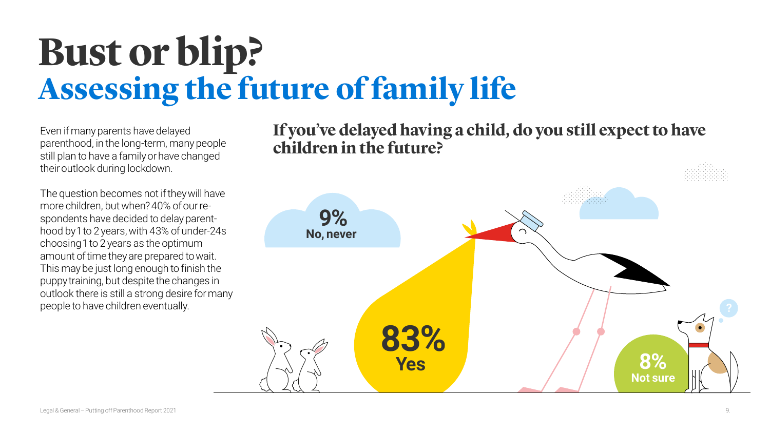## <span id="page-8-0"></span>**Bust or blip? Assessing the future of family life**

Even if many parents have delayed parenthood, in the long-term, many people still plan to have a family or have changed their outlook during lockdown.

The question becomes not if they will have more children, but when? 40% of our respondents have decided to delay parenthood by 1 to 2 years, with 43% of under-24s choosing 1 to 2 years as the optimum amount of time they are prepared to wait. This may be just long enough to finish the puppy training, but despite the changes in outlook there is still a strong desire for many people to have children eventually.









### **If you've delayed having a child, do you still expect to have children in the future?**

**9%**